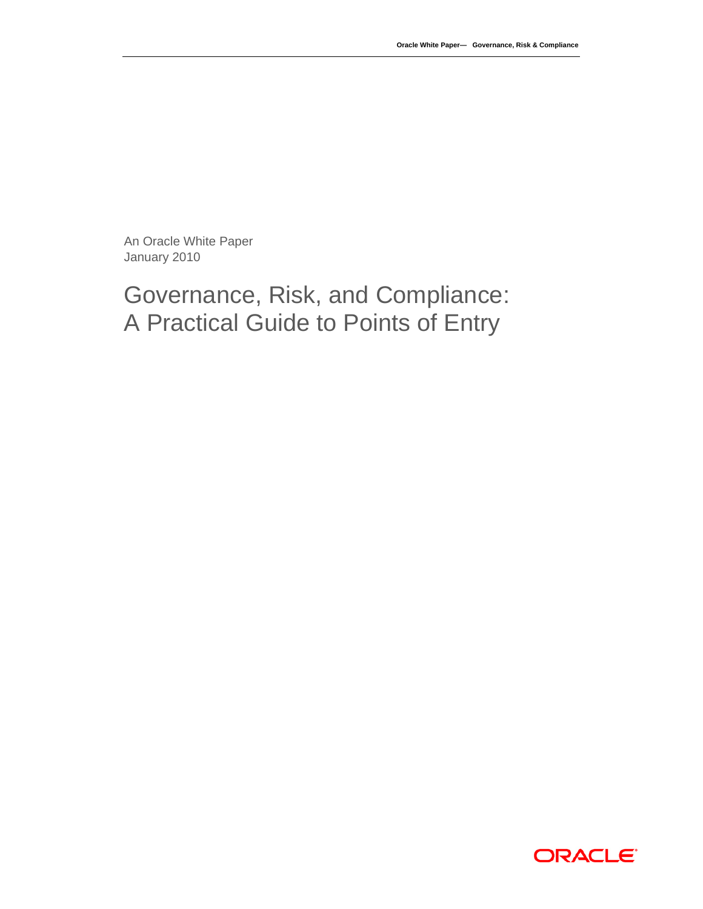An Oracle White Paper January 2010

# Governance, Risk, and Compliance: A Practical Guide to Points of Entry

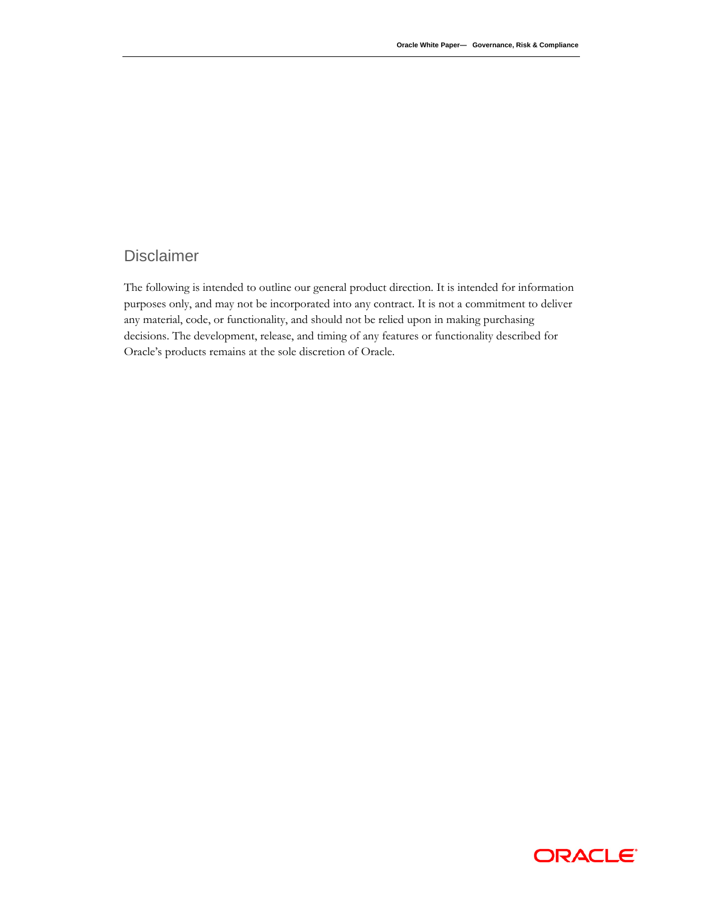### Disclaimer

The following is intended to outline our general product direction. It is intended for information purposes only, and may not be incorporated into any contract. It is not a commitment to deliver any material, code, or functionality, and should not be relied upon in making purchasing decisions. The development, release, and timing of any features or functionality described for Oracle's products remains at the sole discretion of Oracle.

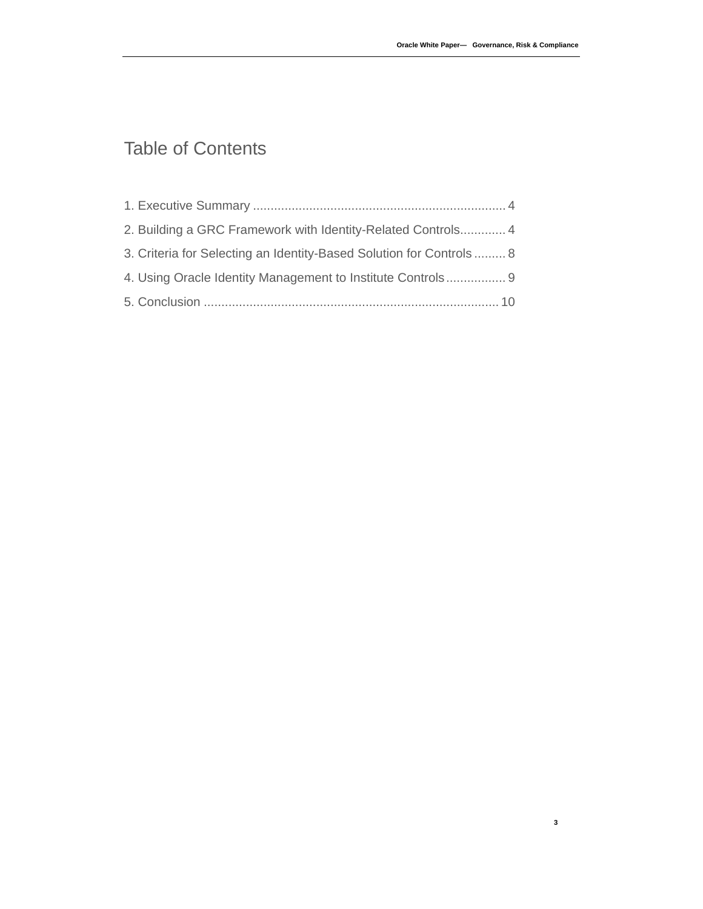**3**

# Table of Contents

| 2. Building a GRC Framework with Identity-Related Controls 4        |  |
|---------------------------------------------------------------------|--|
| 3. Criteria for Selecting an Identity-Based Solution for Controls 8 |  |
| 4. Using Oracle Identity Management to Institute Controls 9         |  |
|                                                                     |  |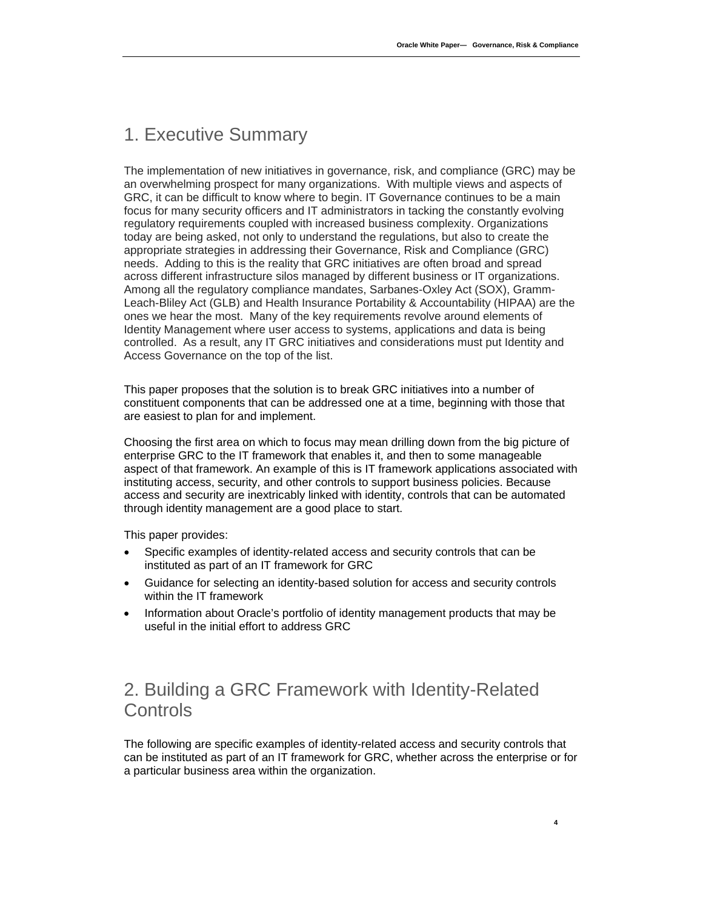# 1. Executive Summary

The implementation of new initiatives in governance, risk, and compliance (GRC) may be an overwhelming prospect for many organizations. With multiple views and aspects of GRC, it can be difficult to know where to begin. IT Governance continues to be a main focus for many security officers and IT administrators in tacking the constantly evolving regulatory requirements coupled with increased business complexity. Organizations today are being asked, not only to understand the regulations, but also to create the appropriate strategies in addressing their Governance, Risk and Compliance (GRC) needs. Adding to this is the reality that GRC initiatives are often broad and spread across different infrastructure silos managed by different business or IT organizations. Among all the regulatory compliance mandates, Sarbanes-Oxley Act (SOX), Gramm-Leach-Bliley Act (GLB) and Health Insurance Portability & Accountability (HIPAA) are the ones we hear the most. Many of the key requirements revolve around elements of Identity Management where user access to systems, applications and data is being controlled. As a result, any IT GRC initiatives and considerations must put Identity and Access Governance on the top of the list.

This paper proposes that the solution is to break GRC initiatives into a number of constituent components that can be addressed one at a time, beginning with those that are easiest to plan for and implement.

Choosing the first area on which to focus may mean drilling down from the big picture of enterprise GRC to the IT framework that enables it, and then to some manageable aspect of that framework. An example of this is IT framework applications associated with instituting access, security, and other controls to support business policies. Because access and security are inextricably linked with identity, controls that can be automated through identity management are a good place to start.

This paper provides:

- Specific examples of identity-related access and security controls that can be instituted as part of an IT framework for GRC
- Guidance for selecting an identity-based solution for access and security controls within the IT framework
- Information about Oracle's portfolio of identity management products that may be useful in the initial effort to address GRC

# 2. Building a GRC Framework with Identity-Related **Controls**

The following are specific examples of identity-related access and security controls that can be instituted as part of an IT framework for GRC, whether across the enterprise or for a particular business area within the organization.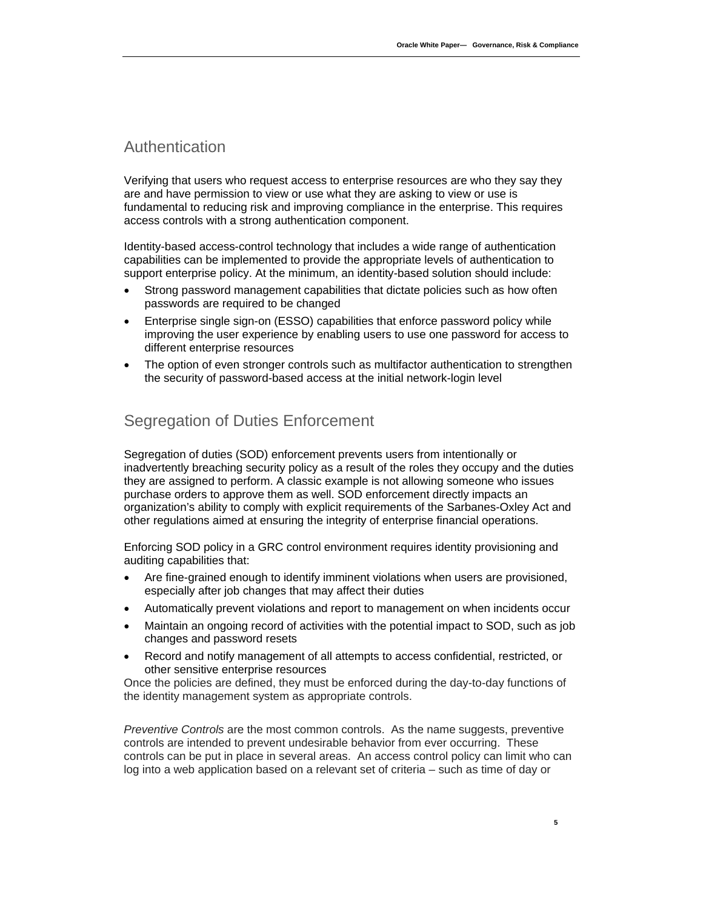### Authentication

Verifying that users who request access to enterprise resources are who they say they are and have permission to view or use what they are asking to view or use is fundamental to reducing risk and improving compliance in the enterprise. This requires access controls with a strong authentication component.

Identity-based access-control technology that includes a wide range of authentication capabilities can be implemented to provide the appropriate levels of authentication to support enterprise policy. At the minimum, an identity-based solution should include:

- Strong password management capabilities that dictate policies such as how often passwords are required to be changed
- Enterprise single sign-on (ESSO) capabilities that enforce password policy while improving the user experience by enabling users to use one password for access to different enterprise resources
- The option of even stronger controls such as multifactor authentication to strengthen the security of password-based access at the initial network-login level

### Segregation of Duties Enforcement

Segregation of duties (SOD) enforcement prevents users from intentionally or inadvertently breaching security policy as a result of the roles they occupy and the duties they are assigned to perform. A classic example is not allowing someone who issues purchase orders to approve them as well. SOD enforcement directly impacts an organization's ability to comply with explicit requirements of the Sarbanes-Oxley Act and other regulations aimed at ensuring the integrity of enterprise financial operations.

Enforcing SOD policy in a GRC control environment requires identity provisioning and auditing capabilities that:

- Are fine-grained enough to identify imminent violations when users are provisioned, especially after job changes that may affect their duties
- Automatically prevent violations and report to management on when incidents occur
- Maintain an ongoing record of activities with the potential impact to SOD, such as job changes and password resets
- Record and notify management of all attempts to access confidential, restricted, or other sensitive enterprise resources

Once the policies are defined, they must be enforced during the day-to-day functions of the identity management system as appropriate controls.

*Preventive Controls* are the most common controls. As the name suggests, preventive controls are intended to prevent undesirable behavior from ever occurring. These controls can be put in place in several areas. An access control policy can limit who can log into a web application based on a relevant set of criteria – such as time of day or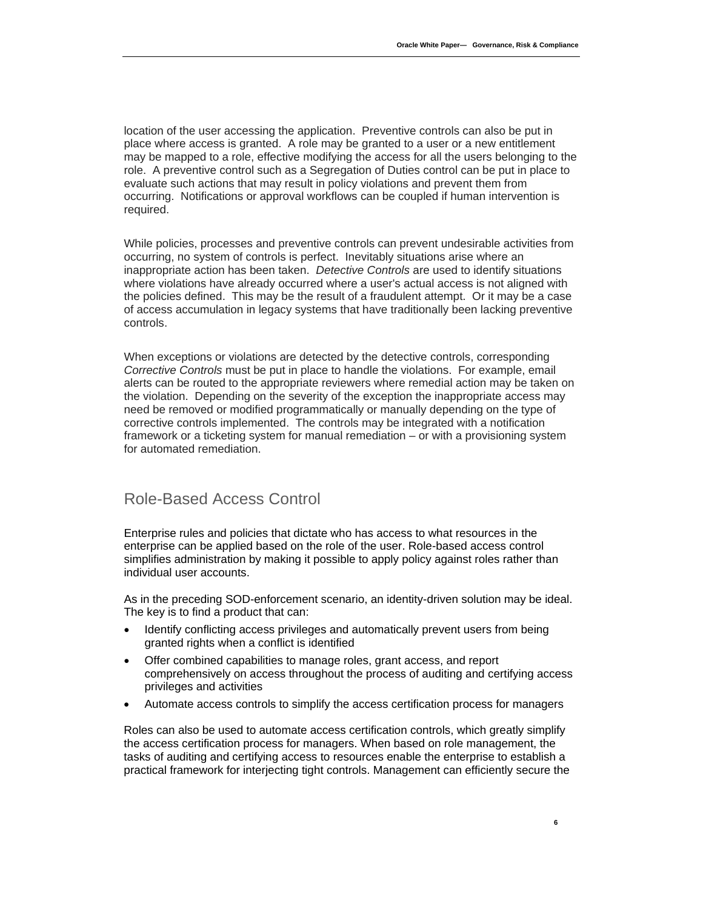location of the user accessing the application. Preventive controls can also be put in place where access is granted. A role may be granted to a user or a new entitlement may be mapped to a role, effective modifying the access for all the users belonging to the role. A preventive control such as a Segregation of Duties control can be put in place to evaluate such actions that may result in policy violations and prevent them from occurring. Notifications or approval workflows can be coupled if human intervention is required.

While policies, processes and preventive controls can prevent undesirable activities from occurring, no system of controls is perfect. Inevitably situations arise where an inappropriate action has been taken. *Detective Controls* are used to identify situations where violations have already occurred where a user's actual access is not aligned with the policies defined. This may be the result of a fraudulent attempt. Or it may be a case of access accumulation in legacy systems that have traditionally been lacking preventive controls.

When exceptions or violations are detected by the detective controls, corresponding *Corrective Controls* must be put in place to handle the violations. For example, email alerts can be routed to the appropriate reviewers where remedial action may be taken on the violation. Depending on the severity of the exception the inappropriate access may need be removed or modified programmatically or manually depending on the type of corrective controls implemented. The controls may be integrated with a notification framework or a ticketing system for manual remediation – or with a provisioning system for automated remediation.

#### Role-Based Access Control

Enterprise rules and policies that dictate who has access to what resources in the enterprise can be applied based on the role of the user. Role-based access control simplifies administration by making it possible to apply policy against roles rather than individual user accounts.

As in the preceding SOD-enforcement scenario, an identity-driven solution may be ideal. The key is to find a product that can:

- Identify conflicting access privileges and automatically prevent users from being granted rights when a conflict is identified
- Offer combined capabilities to manage roles, grant access, and report comprehensively on access throughout the process of auditing and certifying access privileges and activities
- Automate access controls to simplify the access certification process for managers

Roles can also be used to automate access certification controls, which greatly simplify the access certification process for managers. When based on role management, the tasks of auditing and certifying access to resources enable the enterprise to establish a practical framework for interjecting tight controls. Management can efficiently secure the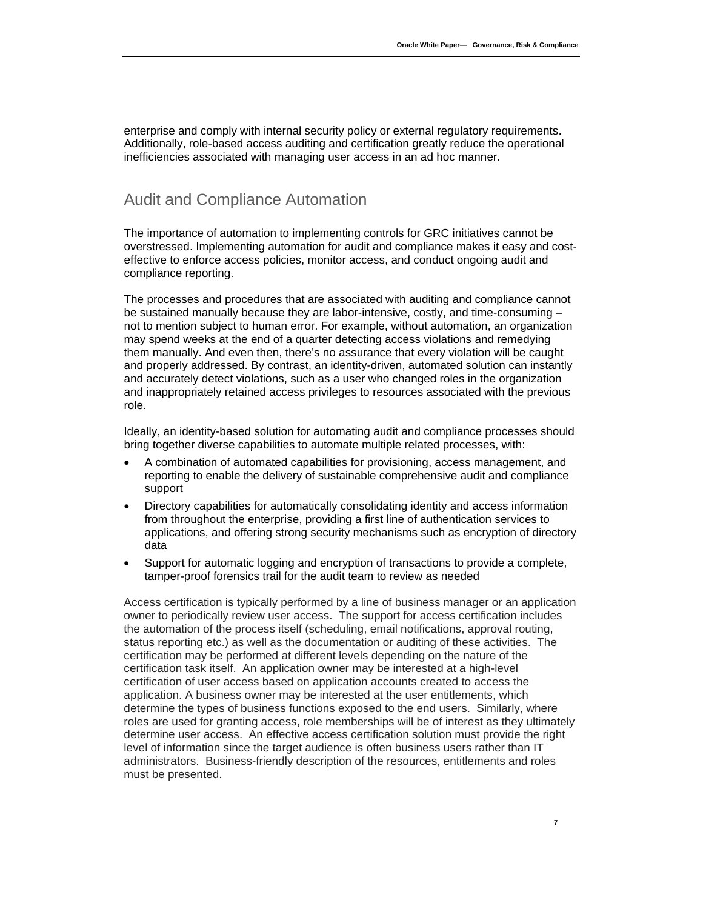enterprise and comply with internal security policy or external regulatory requirements. Additionally, role-based access auditing and certification greatly reduce the operational inefficiencies associated with managing user access in an ad hoc manner.

#### Audit and Compliance Automation

The importance of automation to implementing controls for GRC initiatives cannot be overstressed. Implementing automation for audit and compliance makes it easy and costeffective to enforce access policies, monitor access, and conduct ongoing audit and compliance reporting.

The processes and procedures that are associated with auditing and compliance cannot be sustained manually because they are labor-intensive, costly, and time-consuming – not to mention subject to human error. For example, without automation, an organization may spend weeks at the end of a quarter detecting access violations and remedying them manually. And even then, there's no assurance that every violation will be caught and properly addressed. By contrast, an identity-driven, automated solution can instantly and accurately detect violations, such as a user who changed roles in the organization and inappropriately retained access privileges to resources associated with the previous role.

Ideally, an identity-based solution for automating audit and compliance processes should bring together diverse capabilities to automate multiple related processes, with:

- A combination of automated capabilities for provisioning, access management, and reporting to enable the delivery of sustainable comprehensive audit and compliance support
- Directory capabilities for automatically consolidating identity and access information from throughout the enterprise, providing a first line of authentication services to applications, and offering strong security mechanisms such as encryption of directory data
- Support for automatic logging and encryption of transactions to provide a complete, tamper-proof forensics trail for the audit team to review as needed

Access certification is typically performed by a line of business manager or an application owner to periodically review user access. The support for access certification includes the automation of the process itself (scheduling, email notifications, approval routing, status reporting etc.) as well as the documentation or auditing of these activities. The certification may be performed at different levels depending on the nature of the certification task itself. An application owner may be interested at a high-level certification of user access based on application accounts created to access the application. A business owner may be interested at the user entitlements, which determine the types of business functions exposed to the end users. Similarly, where roles are used for granting access, role memberships will be of interest as they ultimately determine user access. An effective access certification solution must provide the right level of information since the target audience is often business users rather than IT administrators. Business-friendly description of the resources, entitlements and roles must be presented.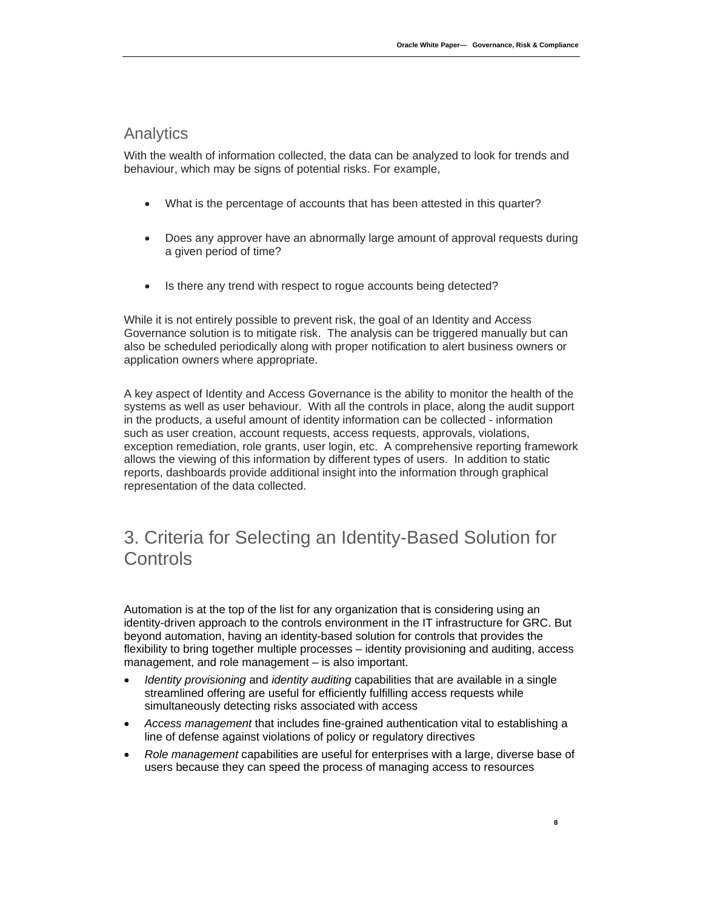#### Analytics

With the wealth of information collected, the data can be analyzed to look for trends and behaviour, which may be signs of potential risks. For example,

- What is the percentage of accounts that has been attested in this quarter?
- Does any approver have an abnormally large amount of approval requests during a given period of time?
- Is there any trend with respect to rogue accounts being detected?

While it is not entirely possible to prevent risk, the goal of an Identity and Access Governance solution is to mitigate risk. The analysis can be triggered manually but can also be scheduled periodically along with proper notification to alert business owners or application owners where appropriate.

A key aspect of Identity and Access Governance is the ability to monitor the health of the systems as well as user behaviour. With all the controls in place, along the audit support in the products, a useful amount of identity information can be collected - information such as user creation, account requests, access requests, approvals, violations, exception remediation, role grants, user login, etc. A comprehensive reporting framework allows the viewing of this information by different types of users. In addition to static reports, dashboards provide additional insight into the information through graphical representation of the data collected.

# 3. Criteria for Selecting an Identity-Based Solution for **Controls**

Automation is at the top of the list for any organization that is considering using an identity-driven approach to the controls environment in the IT infrastructure for GRC. But beyond automation, having an identity-based solution for controls that provides the flexibility to bring together multiple processes – identity provisioning and auditing, access management, and role management – is also important.

- *Identity provisioning* and *identity auditing* capabilities that are available in a single streamlined offering are useful for efficiently fulfilling access requests while simultaneously detecting risks associated with access
- *Access management* that includes fine-grained authentication vital to establishing a line of defense against violations of policy or regulatory directives
- *Role management* capabilities are useful for enterprises with a large, diverse base of users because they can speed the process of managing access to resources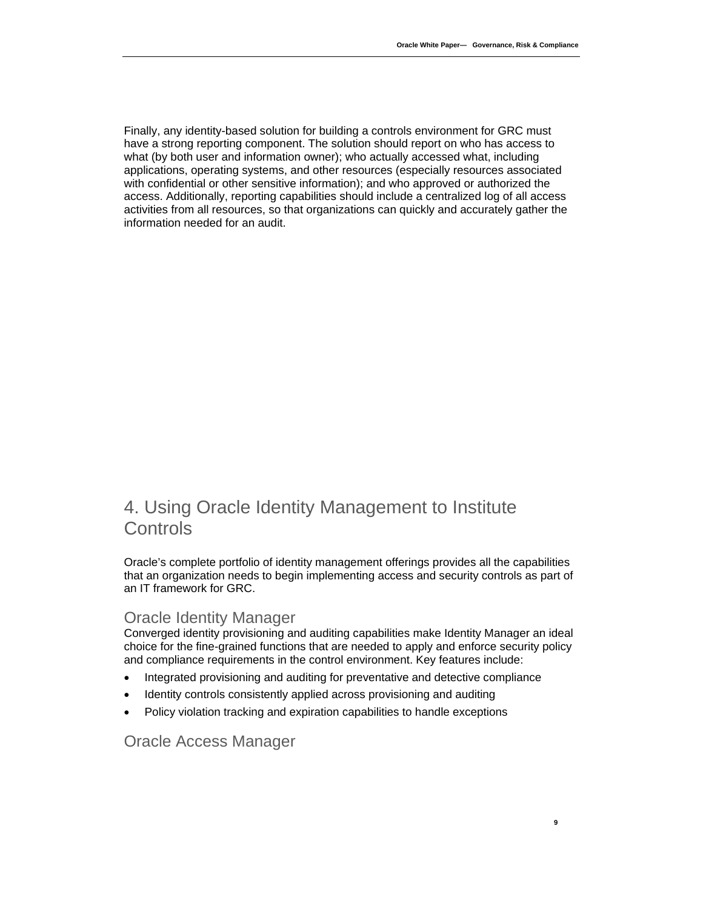Finally, any identity-based solution for building a controls environment for GRC must have a strong reporting component. The solution should report on who has access to what (by both user and information owner); who actually accessed what, including applications, operating systems, and other resources (especially resources associated with confidential or other sensitive information); and who approved or authorized the access. Additionally, reporting capabilities should include a centralized log of all access activities from all resources, so that organizations can quickly and accurately gather the information needed for an audit.

# 4. Using Oracle Identity Management to Institute **Controls**

Oracle's complete portfolio of identity management offerings provides all the capabilities that an organization needs to begin implementing access and security controls as part of an IT framework for GRC.

#### Oracle Identity Manager

Converged identity provisioning and auditing capabilities make Identity Manager an ideal choice for the fine-grained functions that are needed to apply and enforce security policy and compliance requirements in the control environment. Key features include:

- Integrated provisioning and auditing for preventative and detective compliance
- Identity controls consistently applied across provisioning and auditing
- Policy violation tracking and expiration capabilities to handle exceptions

Oracle Access Manager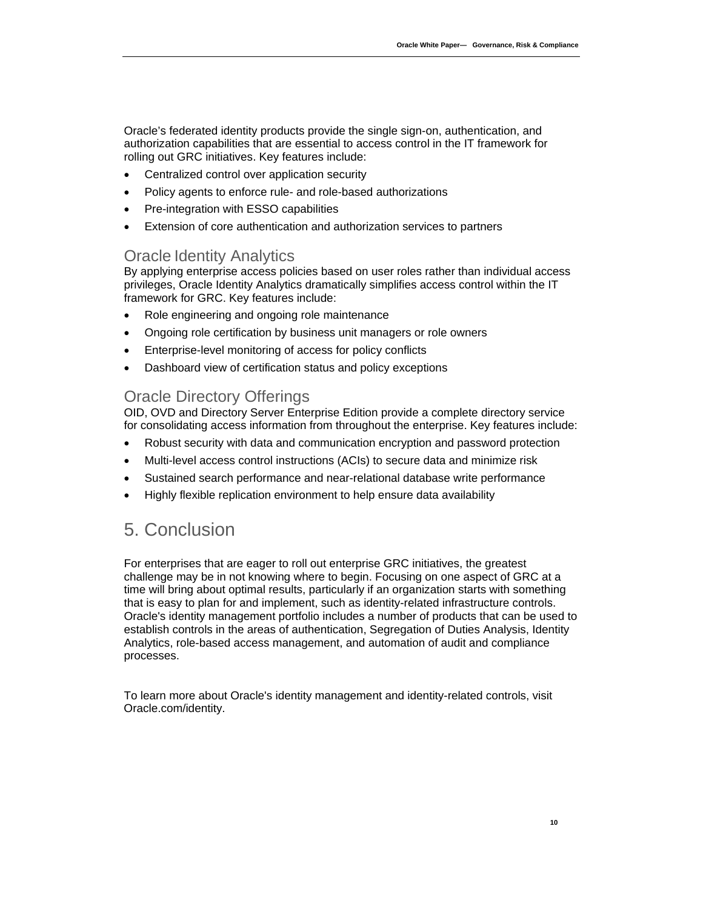Oracle's federated identity products provide the single sign-on, authentication, and authorization capabilities that are essential to access control in the IT framework for rolling out GRC initiatives. Key features include:

- Centralized control over application security
- Policy agents to enforce rule- and role-based authorizations
- Pre-integration with ESSO capabilities
- Extension of core authentication and authorization services to partners

#### Oracle Identity Analytics

By applying enterprise access policies based on user roles rather than individual access privileges, Oracle Identity Analytics dramatically simplifies access control within the IT framework for GRC. Key features include:

- Role engineering and ongoing role maintenance
- Ongoing role certification by business unit managers or role owners
- Enterprise-level monitoring of access for policy conflicts
- Dashboard view of certification status and policy exceptions

### Oracle Directory Offerings

OID, OVD and Directory Server Enterprise Edition provide a complete directory service for consolidating access information from throughout the enterprise. Key features include:

- Robust security with data and communication encryption and password protection
- Multi-level access control instructions (ACIs) to secure data and minimize risk
- Sustained search performance and near-relational database write performance
- Highly flexible replication environment to help ensure data availability

## 5. Conclusion

For enterprises that are eager to roll out enterprise GRC initiatives, the greatest challenge may be in not knowing where to begin. Focusing on one aspect of GRC at a time will bring about optimal results, particularly if an organization starts with something that is easy to plan for and implement, such as identity-related infrastructure controls. Oracle's identity management portfolio includes a number of products that can be used to establish controls in the areas of authentication, Segregation of Duties Analysis, Identity Analytics, role-based access management, and automation of audit and compliance processes.

To learn more about Oracle's identity management and identity-related controls, visit Oracle.com/identity.